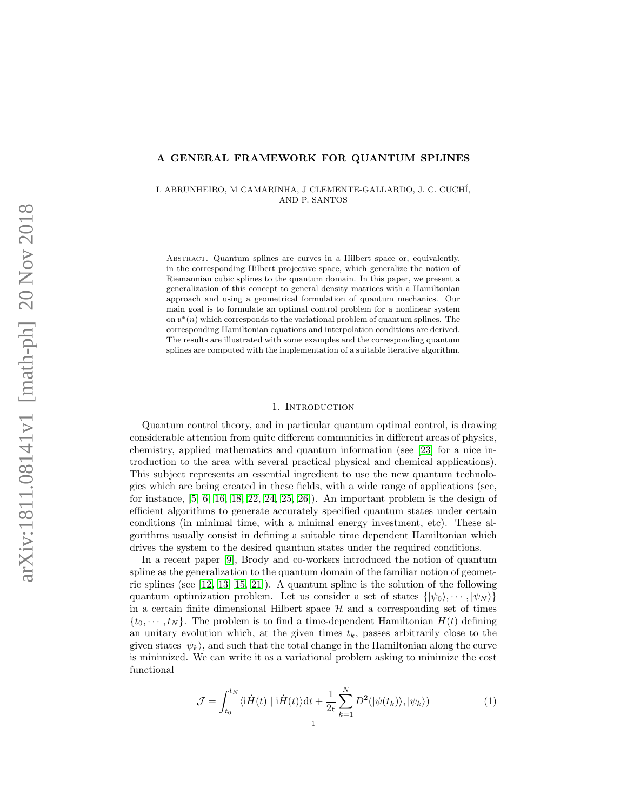# A GENERAL FRAMEWORK FOR QUANTUM SPLINES

L ABRUNHEIRO, M CAMARINHA, J CLEMENTE-GALLARDO, J. C. CUCH´I, AND P. SANTOS

Abstract. Quantum splines are curves in a Hilbert space or, equivalently, in the corresponding Hilbert projective space, which generalize the notion of Riemannian cubic splines to the quantum domain. In this paper, we present a generalization of this concept to general density matrices with a Hamiltonian approach and using a geometrical formulation of quantum mechanics. Our main goal is to formulate an optimal control problem for a nonlinear system on  $\mathfrak{u}^*(n)$  which corresponds to the variational problem of quantum splines. The corresponding Hamiltonian equations and interpolation conditions are derived. The results are illustrated with some examples and the corresponding quantum splines are computed with the implementation of a suitable iterative algorithm.

#### 1. INTRODUCTION

<span id="page-0-1"></span>Quantum control theory, and in particular quantum optimal control, is drawing considerable attention from quite different communities in different areas of physics, chemistry, applied mathematics and quantum information (see [\[23\]](#page-19-0) for a nice introduction to the area with several practical physical and chemical applications). This subject represents an essential ingredient to use the new quantum technologies which are being created in these fields, with a wide range of applications (see, for instance,  $[5, 6, 16, 18, 22, 24, 25, 26]$  $[5, 6, 16, 18, 22, 24, 25, 26]$  $[5, 6, 16, 18, 22, 24, 25, 26]$  $[5, 6, 16, 18, 22, 24, 25, 26]$  $[5, 6, 16, 18, 22, 24, 25, 26]$  $[5, 6, 16, 18, 22, 24, 25, 26]$  $[5, 6, 16, 18, 22, 24, 25, 26]$  $[5, 6, 16, 18, 22, 24, 25, 26]$ . An important problem is the design of efficient algorithms to generate accurately specified quantum states under certain conditions (in minimal time, with a minimal energy investment, etc). These algorithms usually consist in defining a suitable time dependent Hamiltonian which drives the system to the desired quantum states under the required conditions.

In a recent paper [\[9\]](#page-18-2), Brody and co-workers introduced the notion of quantum spline as the generalization to the quantum domain of the familiar notion of geometric splines (see [\[12,](#page-19-7) [13,](#page-19-8) [15,](#page-19-9) [21\]](#page-19-10)). A quantum spline is the solution of the following quantum optimization problem. Let us consider a set of states  $\{|\psi_0\rangle, \dots, |\psi_N\rangle\}$ in a certain finite dimensional Hilbert space  $H$  and a corresponding set of times  $\{t_0, \dots, t_N\}$ . The problem is to find a time-dependent Hamiltonian  $H(t)$  defining an unitary evolution which, at the given times  $t_k$ , passes arbitrarily close to the given states  $|\psi_k\rangle$ , and such that the total change in the Hamiltonian along the curve is minimized. We can write it as a variational problem asking to minimize the cost functional

<span id="page-0-0"></span>
$$
\mathcal{J} = \int_{t_0}^{t_N} \langle i\dot{H}(t) | i\dot{H}(t) \rangle dt + \frac{1}{2\epsilon} \sum_{k=1}^{N} D^2(|\psi(t_k)\rangle, |\psi_k\rangle)
$$
(1)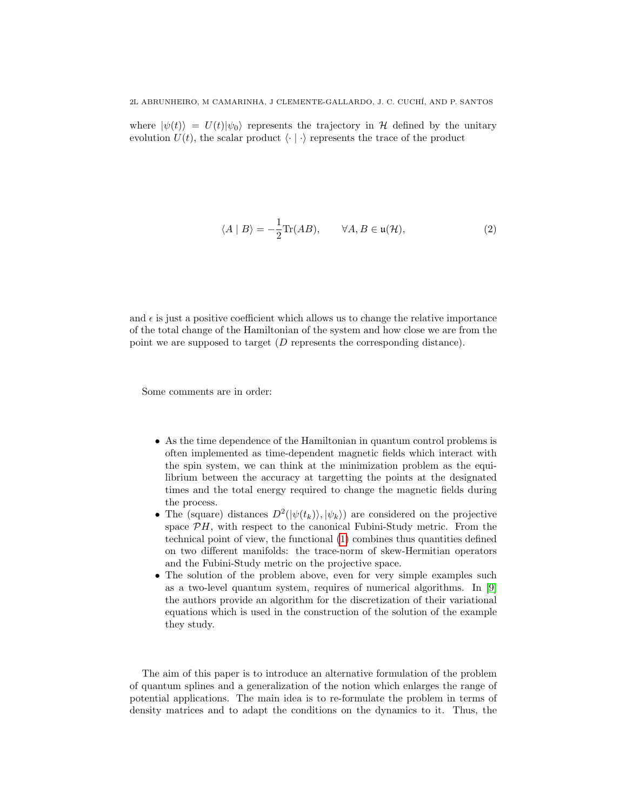where  $|\psi(t)\rangle = U(t)|\psi_0\rangle$  represents the trajectory in H defined by the unitary evolution  $U(t)$ , the scalar product  $\langle \cdot | \cdot \rangle$  represents the trace of the product

$$
\langle A \mid B \rangle = -\frac{1}{2} \text{Tr}(AB), \qquad \forall A, B \in \mathfrak{u}(\mathcal{H}), \tag{2}
$$

and  $\epsilon$  is just a positive coefficient which allows us to change the relative importance of the total change of the Hamiltonian of the system and how close we are from the point we are supposed to target (D represents the corresponding distance).

Some comments are in order:

- As the time dependence of the Hamiltonian in quantum control problems is often implemented as time-dependent magnetic fields which interact with the spin system, we can think at the minimization problem as the equilibrium between the accuracy at targetting the points at the designated times and the total energy required to change the magnetic fields during the process.
- The (square) distances  $D^2(|\psi(t_k)\rangle, |\psi_k\rangle)$  are considered on the projective space  $\mathcal{P}H$ , with respect to the canonical Fubini-Study metric. From the technical point of view, the functional [\(1\)](#page-0-0) combines thus quantities defined on two different manifolds: the trace-norm of skew-Hermitian operators and the Fubini-Study metric on the projective space.
- The solution of the problem above, even for very simple examples such as a two-level quantum system, requires of numerical algorithms. In [\[9\]](#page-18-2) the authors provide an algorithm for the discretization of their variational equations which is used in the construction of the solution of the example they study.

The aim of this paper is to introduce an alternative formulation of the problem of quantum splines and a generalization of the notion which enlarges the range of potential applications. The main idea is to re-formulate the problem in terms of density matrices and to adapt the conditions on the dynamics to it. Thus, the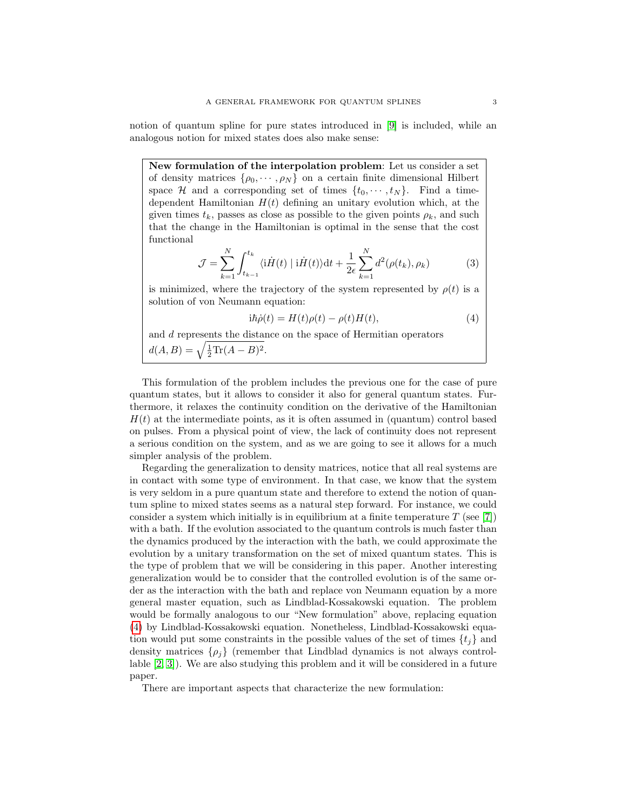notion of quantum spline for pure states introduced in [\[9\]](#page-18-2) is included, while an analogous notion for mixed states does also make sense:

New formulation of the interpolation problem: Let us consider a set of density matrices  $\{\rho_0, \dots, \rho_N\}$  on a certain finite dimensional Hilbert space H and a corresponding set of times  $\{t_0, \dots, t_N\}$ . Find a timedependent Hamiltonian  $H(t)$  defining an unitary evolution which, at the given times  $t_k$ , passes as close as possible to the given points  $\rho_k$ , and such that the change in the Hamiltonian is optimal in the sense that the cost functional

$$
\mathcal{J} = \sum_{k=1}^{N} \int_{t_{k-1}}^{t_k} \langle i\dot{H}(t) | i\dot{H}(t) \rangle dt + \frac{1}{2\epsilon} \sum_{k=1}^{N} d^2(\rho(t_k), \rho_k)
$$
(3)

is minimized, where the trajectory of the system represented by  $\rho(t)$  is a solution of von Neumann equation:

<span id="page-2-0"></span>
$$
i\hbar\dot{\rho}(t) = H(t)\rho(t) - \rho(t)H(t),\tag{4}
$$

and d represents the distance on the space of Hermitian operators  $d(A, B) = \sqrt{\frac{1}{2}\text{Tr}(A - B)^2}.$ 

This formulation of the problem includes the previous one for the case of pure quantum states, but it allows to consider it also for general quantum states. Furthermore, it relaxes the continuity condition on the derivative of the Hamiltonian  $H(t)$  at the intermediate points, as it is often assumed in (quantum) control based on pulses. From a physical point of view, the lack of continuity does not represent a serious condition on the system, and as we are going to see it allows for a much simpler analysis of the problem.

Regarding the generalization to density matrices, notice that all real systems are in contact with some type of environment. In that case, we know that the system is very seldom in a pure quantum state and therefore to extend the notion of quantum spline to mixed states seems as a natural step forward. For instance, we could consider a system which initially is in equilibrium at a finite temperature  $T$  (see [\[7\]](#page-18-3)) with a bath. If the evolution associated to the quantum controls is much faster than the dynamics produced by the interaction with the bath, we could approximate the evolution by a unitary transformation on the set of mixed quantum states. This is the type of problem that we will be considering in this paper. Another interesting generalization would be to consider that the controlled evolution is of the same order as the interaction with the bath and replace von Neumann equation by a more general master equation, such as Lindblad-Kossakowski equation. The problem would be formally analogous to our "New formulation" above, replacing equation [\(4\)](#page-2-0) by Lindblad-Kossakowski equation. Nonetheless, Lindblad-Kossakowski equation would put some constraints in the possible values of the set of times  $\{t_i\}$  and density matrices  $\{\rho_i\}$  (remember that Lindblad dynamics is not always controllable [\[2,](#page-18-4) [3\]](#page-18-5)). We are also studying this problem and it will be considered in a future paper.

There are important aspects that characterize the new formulation: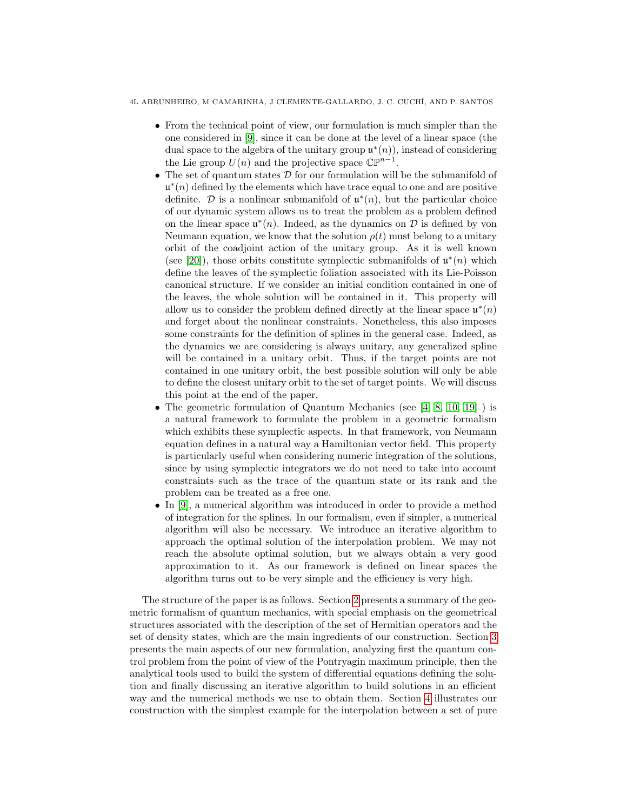- From the technical point of view, our formulation is much simpler than the one considered in [\[9\]](#page-18-2), since it can be done at the level of a linear space (the dual space to the algebra of the unitary group  $\mathfrak{u}^*(n)$ , instead of considering the Lie group  $U(n)$  and the projective space  $\mathbb{CP}^{n-1}$ .
- The set of quantum states  $D$  for our formulation will be the submanifold of  $\mathfrak{u}^*(n)$  defined by the elements which have trace equal to one and are positive definite. D is a nonlinear submanifold of  $\mathfrak{u}^*(n)$ , but the particular choice of our dynamic system allows us to treat the problem as a problem defined on the linear space  $\mathfrak{u}^*(n)$ . Indeed, as the dynamics on  $\mathcal D$  is defined by von Neumann equation, we know that the solution  $\rho(t)$  must belong to a unitary orbit of the coadjoint action of the unitary group. As it is well known (see [\[20\]](#page-19-11)), those orbits constitute symplectic submanifolds of  $\mathfrak{u}^*(n)$  which define the leaves of the symplectic foliation associated with its Lie-Poisson canonical structure. If we consider an initial condition contained in one of the leaves, the whole solution will be contained in it. This property will allow us to consider the problem defined directly at the linear space  $\mathfrak{u}^*(n)$ and forget about the nonlinear constraints. Nonetheless, this also imposes some constraints for the definition of splines in the general case. Indeed, as the dynamics we are considering is always unitary, any generalized spline will be contained in a unitary orbit. Thus, if the target points are not contained in one unitary orbit, the best possible solution will only be able to define the closest unitary orbit to the set of target points. We will discuss this point at the end of the paper.
- The geometric formulation of Quantum Mechanics (see [\[4,](#page-18-6) [8,](#page-18-7) [10,](#page-18-8) [19\]](#page-19-12)) is a natural framework to formulate the problem in a geometric formalism which exhibits these symplectic aspects. In that framework, von Neumann equation defines in a natural way a Hamiltonian vector field. This property is particularly useful when considering numeric integration of the solutions, since by using symplectic integrators we do not need to take into account constraints such as the trace of the quantum state or its rank and the problem can be treated as a free one.
- In [\[9\]](#page-18-2), a numerical algorithm was introduced in order to provide a method of integration for the splines. In our formalism, even if simpler, a numerical algorithm will also be necessary. We introduce an iterative algorithm to approach the optimal solution of the interpolation problem. We may not reach the absolute optimal solution, but we always obtain a very good approximation to it. As our framework is defined on linear spaces the algorithm turns out to be very simple and the efficiency is very high.

The structure of the paper is as follows. Section [2](#page-4-0) presents a summary of the geometric formalism of quantum mechanics, with special emphasis on the geometrical structures associated with the description of the set of Hermitian operators and the set of density states, which are the main ingredients of our construction. Section [3](#page-6-0) presents the main aspects of our new formulation, analyzing first the quantum control problem from the point of view of the Pontryagin maximum principle, then the analytical tools used to build the system of differential equations defining the solution and finally discussing an iterative algorithm to build solutions in an efficient way and the numerical methods we use to obtain them. Section [4](#page-12-0) illustrates our construction with the simplest example for the interpolation between a set of pure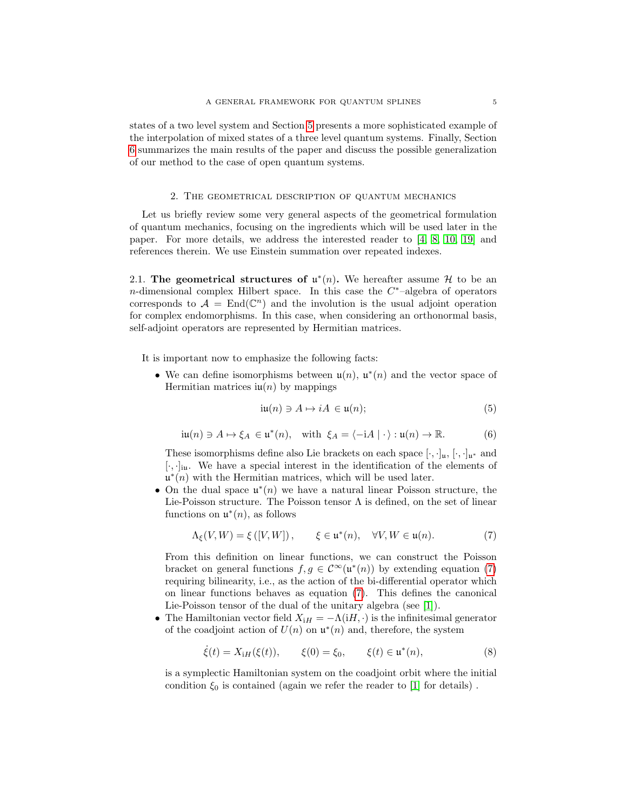states of a two level system and Section [5](#page-14-0) presents a more sophisticated example of the interpolation of mixed states of a three level quantum systems. Finally, Section [6](#page-17-0) summarizes the main results of the paper and discuss the possible generalization of our method to the case of open quantum systems.

## 2. The geometrical description of quantum mechanics

<span id="page-4-0"></span>Let us briefly review some very general aspects of the geometrical formulation of quantum mechanics, focusing on the ingredients which will be used later in the paper. For more details, we address the interested reader to [\[4,](#page-18-6) [8,](#page-18-7) [10,](#page-18-8) [19\]](#page-19-12) and references therein. We use Einstein summation over repeated indexes.

2.1. The geometrical structures of  $\mathfrak{u}^*(n)$ . We hereafter assume H to be an  $n$ -dimensional complex Hilbert space. In this case the  $C^*$ -algebra of operators corresponds to  $A = \text{End}(\mathbb{C}^n)$  and the involution is the usual adjoint operation for complex endomorphisms. In this case, when considering an orthonormal basis, self-adjoint operators are represented by Hermitian matrices.

It is important now to emphasize the following facts:

• We can define isomorphisms between  $\mathfrak{u}(n)$ ,  $\mathfrak{u}^*(n)$  and the vector space of Hermitian matrices  $\mathfrak{u}(n)$  by mappings

$$
iu(n) \ni A \mapsto iA \in u(n); \tag{5}
$$

$$
i\mathfrak{u}(n) \ni A \mapsto \xi_A \in \mathfrak{u}^*(n), \quad \text{with } \xi_A = \langle -iA | \cdot \rangle : \mathfrak{u}(n) \to \mathbb{R}.
$$
 (6)

These isomorphisms define also Lie brackets on each space  $[\cdot, \cdot]_{\mathfrak{u}}, [\cdot, \cdot]_{\mathfrak{u}^*}$  and  $[\cdot, \cdot]_{\text{iu}}$ . We have a special interest in the identification of the elements of  $\mathfrak{u}^*(n)$  with the Hermitian matrices, which will be used later.

• On the dual space  $\mathfrak{u}^*(n)$  we have a natural linear Poisson structure, the Lie-Poisson structure. The Poisson tensor  $\Lambda$  is defined, on the set of linear functions on  $\mathfrak{u}^*(n)$ , as follows

<span id="page-4-1"></span>
$$
\Lambda_{\xi}(V, W) = \xi([V, W]), \qquad \xi \in \mathfrak{u}^*(n), \quad \forall V, W \in \mathfrak{u}(n). \tag{7}
$$

From this definition on linear functions, we can construct the Poisson bracket on general functions  $f, g \in C^{\infty}(\mathfrak{u}^*(n))$  by extending equation [\(7\)](#page-4-1) requiring bilinearity, i.e., as the action of the bi-differential operator which on linear functions behaves as equation [\(7\)](#page-4-1). This defines the canonical Lie-Poisson tensor of the dual of the unitary algebra (see [\[1\]](#page-18-9)).

• The Hamiltonian vector field  $X_{iH} = -\Lambda(iH, \cdot)$  is the infinitesimal generator of the coadjoint action of  $U(n)$  on  $\mathfrak{u}^*(n)$  and, therefore, the system

<span id="page-4-2"></span>
$$
\dot{\xi}(t) = X_{\text{iH}}(\xi(t)), \qquad \xi(0) = \xi_0, \qquad \xi(t) \in \mathfrak{u}^*(n), \tag{8}
$$

is a symplectic Hamiltonian system on the coadjoint orbit where the initial condition  $\xi_0$  is contained (again we refer the reader to [\[1\]](#page-18-9) for details).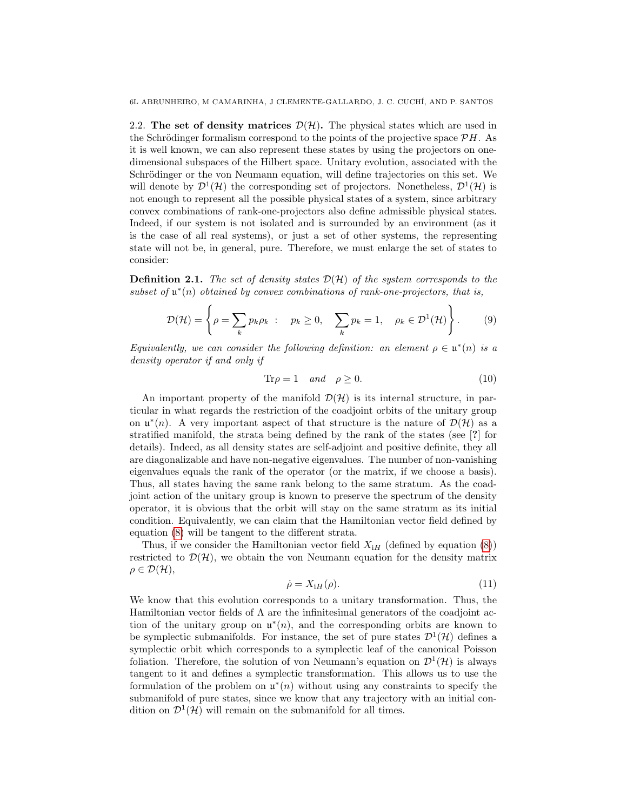2.2. The set of density matrices  $\mathcal{D}(\mathcal{H})$ . The physical states which are used in the Schrödinger formalism correspond to the points of the projective space  $\mathcal{P}H$ . As it is well known, we can also represent these states by using the projectors on onedimensional subspaces of the Hilbert space. Unitary evolution, associated with the Schrödinger or the von Neumann equation, will define trajectories on this set. We will denote by  $\mathcal{D}^1(\mathcal{H})$  the corresponding set of projectors. Nonetheless,  $\mathcal{D}^1(\mathcal{H})$  is not enough to represent all the possible physical states of a system, since arbitrary convex combinations of rank-one-projectors also define admissible physical states. Indeed, if our system is not isolated and is surrounded by an environment (as it is the case of all real systems), or just a set of other systems, the representing state will not be, in general, pure. Therefore, we must enlarge the set of states to consider:

**Definition 2.1.** The set of density states  $\mathcal{D}(\mathcal{H})$  of the system corresponds to the subset of  $\mathfrak{u}^*(n)$  obtained by convex combinations of rank-one-projectors, that is,

$$
\mathcal{D}(\mathcal{H}) = \left\{ \rho = \sum_{k} p_k \rho_k \; : \quad p_k \ge 0, \quad \sum_{k} p_k = 1, \quad \rho_k \in \mathcal{D}^1(\mathcal{H}) \right\}.
$$
 (9)

Equivalently, we can consider the following definition: an element  $\rho \in \mathfrak{u}^*(n)$  is a density operator if and only if

$$
\text{Tr}\rho = 1 \quad \text{and} \quad \rho \ge 0. \tag{10}
$$

An important property of the manifold  $\mathcal{D}(\mathcal{H})$  is its internal structure, in particular in what regards the restriction of the coadjoint orbits of the unitary group on  $\mathfrak{u}^*(n)$ . A very important aspect of that structure is the nature of  $\mathcal{D}(\mathcal{H})$  as a stratified manifold, the strata being defined by the rank of the states (see [?] for details). Indeed, as all density states are self-adjoint and positive definite, they all are diagonalizable and have non-negative eigenvalues. The number of non-vanishing eigenvalues equals the rank of the operator (or the matrix, if we choose a basis). Thus, all states having the same rank belong to the same stratum. As the coadjoint action of the unitary group is known to preserve the spectrum of the density operator, it is obvious that the orbit will stay on the same stratum as its initial condition. Equivalently, we can claim that the Hamiltonian vector field defined by equation [\(8\)](#page-4-2) will be tangent to the different strata.

Thus, if we consider the Hamiltonian vector field  $X_{iH}$  (defined by equation [\(8\)](#page-4-2)) restricted to  $\mathcal{D}(\mathcal{H})$ , we obtain the von Neumann equation for the density matrix  $\rho \in \mathcal{D}(\mathcal{H}),$ 

<span id="page-5-0"></span>
$$
\dot{\rho} = X_{\rm iH}(\rho). \tag{11}
$$

We know that this evolution corresponds to a unitary transformation. Thus, the Hamiltonian vector fields of  $\Lambda$  are the infinitesimal generators of the coadjoint action of the unitary group on  $\mathfrak{u}^*(n)$ , and the corresponding orbits are known to be symplectic submanifolds. For instance, the set of pure states  $\mathcal{D}^1(\mathcal{H})$  defines a symplectic orbit which corresponds to a symplectic leaf of the canonical Poisson foliation. Therefore, the solution of von Neumann's equation on  $\mathcal{D}^1(\mathcal{H})$  is always tangent to it and defines a symplectic transformation. This allows us to use the formulation of the problem on  $\mathfrak{u}^*(n)$  without using any constraints to specify the submanifold of pure states, since we know that any trajectory with an initial condition on  $\mathcal{D}^1(\mathcal{H})$  will remain on the submanifold for all times.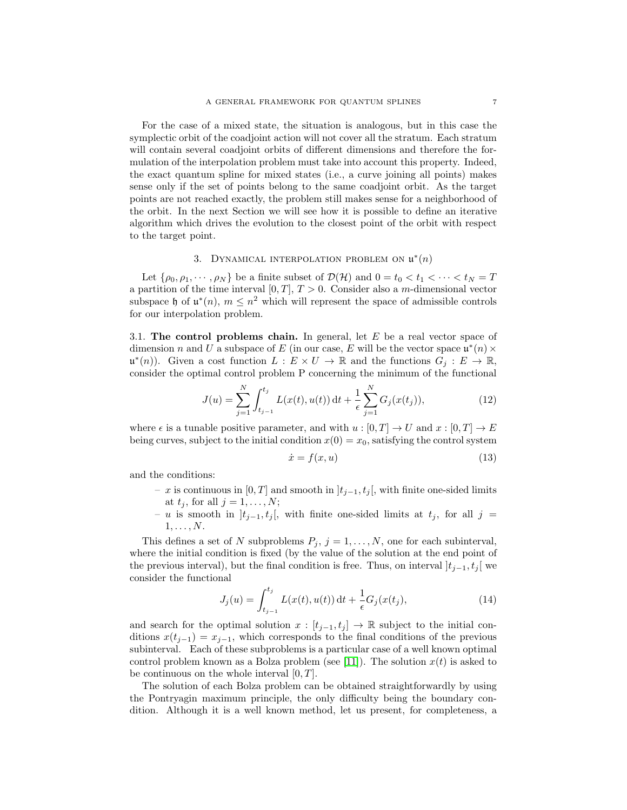For the case of a mixed state, the situation is analogous, but in this case the symplectic orbit of the coadjoint action will not cover all the stratum. Each stratum will contain several coadjoint orbits of different dimensions and therefore the formulation of the interpolation problem must take into account this property. Indeed, the exact quantum spline for mixed states (i.e., a curve joining all points) makes sense only if the set of points belong to the same coadjoint orbit. As the target points are not reached exactly, the problem still makes sense for a neighborhood of the orbit. In the next Section we will see how it is possible to define an iterative algorithm which drives the evolution to the closest point of the orbit with respect to the target point.

# 3. DYNAMICAL INTERPOLATION PROBLEM ON  $\mathfrak{u}^*(n)$

<span id="page-6-0"></span>Let  $\{\rho_0, \rho_1, \cdots, \rho_N\}$  be a finite subset of  $\mathcal{D}(\mathcal{H})$  and  $0 = t_0 < t_1 < \cdots < t_N = T$ a partition of the time interval  $[0, T]$ ,  $T > 0$ . Consider also a *m*-dimensional vector subspace h of  $\mathfrak{u}^*(n)$ ,  $m \leq n^2$  which will represent the space of admissible controls for our interpolation problem.

3.1. The control problems chain. In general, let  $E$  be a real vector space of dimension n and U a subspace of E (in our case, E will be the vector space  $\mathfrak{u}^*(n) \times$  $\mathfrak{u}^*(n)$ ). Given a cost function  $L : E \times U \to \mathbb{R}$  and the functions  $G_j : E \to \mathbb{R}$ , consider the optimal control problem P concerning the minimum of the functional

$$
J(u) = \sum_{j=1}^{N} \int_{t_{j-1}}^{t_j} L(x(t), u(t)) dt + \frac{1}{\epsilon} \sum_{j=1}^{N} G_j(x(t_j)),
$$
\n(12)

where  $\epsilon$  is a tunable positive parameter, and with  $u : [0, T] \to U$  and  $x : [0, T] \to E$ being curves, subject to the initial condition  $x(0) = x_0$ , satisfying the control system

$$
\dot{x} = f(x, u) \tag{13}
$$

and the conditions:

- x is continuous in [0, T] and smooth in  $|t_{j-1}, t_j|$ , with finite one-sided limits at  $t_j$ , for all  $j = 1, \ldots, N;$
- u is smooth in  $]t_{j-1}, t_j[$ , with finite one-sided limits at  $t_j$ , for all j =  $1, \ldots, N$ .

This defines a set of N subproblems  $P_i$ ,  $j = 1, ..., N$ , one for each subinterval, where the initial condition is fixed (by the value of the solution at the end point of the previous interval), but the final condition is free. Thus, on interval  $|t_{j-1}, t_j|$  we consider the functional

$$
J_j(u) = \int_{t_{j-1}}^{t_j} L(x(t), u(t)) dt + \frac{1}{\epsilon} G_j(x(t_j)),
$$
\n(14)

and search for the optimal solution  $x : [t_{j-1}, t_j] \to \mathbb{R}$  subject to the initial conditions  $x(t_{j-1}) = x_{j-1}$ , which corresponds to the final conditions of the previous subinterval. Each of these subproblems is a particular case of a well known optimal control problem known as a Bolza problem (see [\[11\]](#page-18-10)). The solution  $x(t)$  is asked to be continuous on the whole interval  $[0, T]$ .

The solution of each Bolza problem can be obtained straightforwardly by using the Pontryagin maximum principle, the only difficulty being the boundary condition. Although it is a well known method, let us present, for completeness, a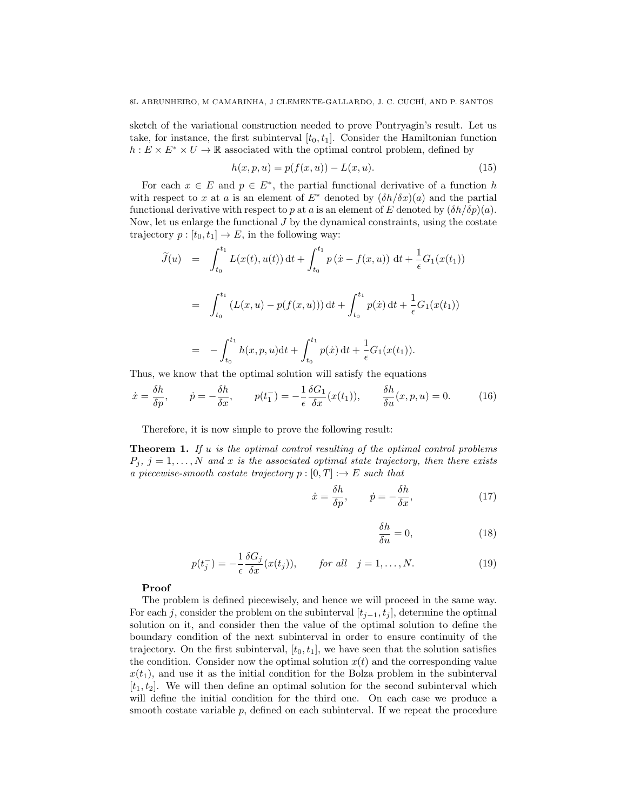sketch of the variational construction needed to prove Pontryagin's result. Let us take, for instance, the first subinterval  $[t_0, t_1]$ . Consider the Hamiltonian function  $h: E \times E^* \times U \to \mathbb{R}$  associated with the optimal control problem, defined by

$$
h(x, p, u) = p(f(x, u)) - L(x, u).
$$
\n(15)

For each  $x \in E$  and  $p \in E^*$ , the partial functional derivative of a function h with respect to x at a is an element of  $E^*$  denoted by  $(\delta h/\delta x)(a)$  and the partial functional derivative with respect to p at a is an element of E denoted by  $(\delta h/\delta p)(a)$ . Now, let us enlarge the functional  $J$  by the dynamical constraints, using the costate trajectory  $p : [t_0, t_1] \to E$ , in the following way:

$$
\widetilde{J}(u) = \int_{t_0}^{t_1} L(x(t), u(t)) dt + \int_{t_0}^{t_1} p(\dot{x} - f(x, u)) dt + \frac{1}{\epsilon} G_1(x(t_1))
$$
  
\n
$$
= \int_{t_0}^{t_1} (L(x, u) - p(f(x, u))) dt + \int_{t_0}^{t_1} p(\dot{x}) dt + \frac{1}{\epsilon} G_1(x(t_1))
$$
  
\n
$$
= - \int_{t_0}^{t_1} h(x, p, u) dt + \int_{t_0}^{t_1} p(\dot{x}) dt + \frac{1}{\epsilon} G_1(x(t_1)).
$$

Thus, we know that the optimal solution will satisfy the equations

$$
\dot{x} = \frac{\delta h}{\delta p}, \qquad \dot{p} = -\frac{\delta h}{\delta x}, \qquad p(t_1^-) = -\frac{1}{\epsilon} \frac{\delta G_1}{\delta x}(x(t_1)), \qquad \frac{\delta h}{\delta u}(x, p, u) = 0. \tag{16}
$$

Therefore, it is now simple to prove the following result:

<span id="page-7-1"></span>**Theorem 1.** If  $u$  is the optimal control resulting of the optimal control problems  $P_i$ ,  $j = 1, \ldots, N$  and x is the associated optimal state trajectory, then there exists a piecewise-smooth costate trajectory  $p : [0, T] : \rightarrow E$  such that

<span id="page-7-0"></span>
$$
\dot{x} = \frac{\delta h}{\delta p}, \qquad \dot{p} = -\frac{\delta h}{\delta x}, \tag{17}
$$

$$
\frac{\delta h}{\delta u} = 0,\t(18)
$$

$$
p(t_j^-) = -\frac{1}{\epsilon} \frac{\delta G_j}{\delta x}(x(t_j)), \qquad \text{for all} \quad j = 1, \dots, N. \tag{19}
$$

### Proof

The problem is defined piecewisely, and hence we will proceed in the same way. For each j, consider the problem on the subinterval  $[t_{j-1}, t_j]$ , determine the optimal solution on it, and consider then the value of the optimal solution to define the boundary condition of the next subinterval in order to ensure continuity of the trajectory. On the first subinterval,  $[t_0, t_1]$ , we have seen that the solution satisfies the condition. Consider now the optimal solution  $x(t)$  and the corresponding value  $x(t_1)$ , and use it as the initial condition for the Bolza problem in the subinterval  $[t_1, t_2]$ . We will then define an optimal solution for the second subinterval which will define the initial condition for the third one. On each case we produce a smooth costate variable  $p$ , defined on each subinterval. If we repeat the procedure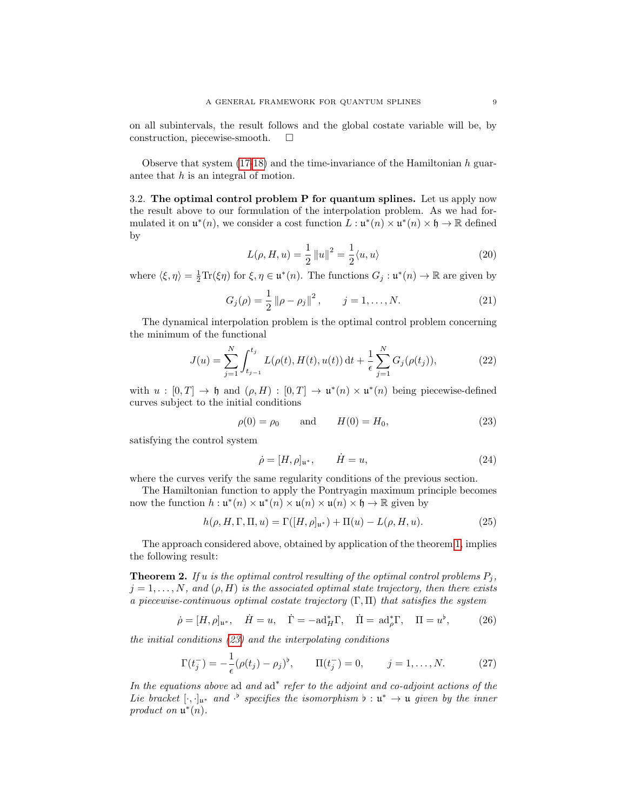on all subintervals, the result follows and the global costate variable will be, by construction, piecewise-smooth.  $\square$ 

Observe that system  $(17-18)$  and the time-invariance of the Hamiltonian h guarantee that h is an integral of motion.

3.2. The optimal control problem P for quantum splines. Let us apply now the result above to our formulation of the interpolation problem. As we had formulated it on  $\mathfrak{u}^*(n)$ , we consider a cost function  $L: \mathfrak{u}^*(n) \times \mathfrak{u}^*(n) \times \mathfrak{h} \to \mathbb{R}$  defined by

<span id="page-8-3"></span>
$$
L(\rho, H, u) = \frac{1}{2} ||u||^2 = \frac{1}{2} \langle u, u \rangle
$$
 (20)

where  $\langle \xi, \eta \rangle = \frac{1}{2} \text{Tr}(\xi \eta)$  for  $\xi, \eta \in \mathfrak{u}^*(n)$ . The functions  $G_j : \mathfrak{u}^*(n) \to \mathbb{R}$  are given by

$$
G_j(\rho) = \frac{1}{2} ||\rho - \rho_j||^2, \qquad j = 1, ..., N.
$$
 (21)

The dynamical interpolation problem is the optimal control problem concerning the minimum of the functional

<span id="page-8-2"></span>
$$
J(u) = \sum_{j=1}^{N} \int_{t_{j-1}}^{t_j} L(\rho(t), H(t), u(t)) dt + \frac{1}{\epsilon} \sum_{j=1}^{N} G_j(\rho(t_j)),
$$
 (22)

with  $u : [0, T] \to \mathfrak{h}$  and  $(\rho, H) : [0, T] \to \mathfrak{u}^*(n) \times \mathfrak{u}^*(n)$  being piecewise-defined curves subject to the initial conditions

<span id="page-8-0"></span>
$$
\rho(0) = \rho_0
$$
 and  $H(0) = H_0$ , (23)

satisfying the control system

$$
\dot{\rho} = [H, \rho]_{\mathfrak{u}^*}, \qquad \dot{H} = u,\tag{24}
$$

where the curves verify the same regularity conditions of the previous section.

The Hamiltonian function to apply the Pontryagin maximum principle becomes now the function  $h: \mathfrak{u}^*(n) \times \mathfrak{u}^*(n) \times \mathfrak{u}(n) \times \mathfrak{u}(n) \times \mathfrak{h} \to \mathbb{R}$  given by

$$
h(\rho, H, \Gamma, \Pi, u) = \Gamma([H, \rho]_{u^*}) + \Pi(u) - L(\rho, H, u). \tag{25}
$$

The approach considered above, obtained by application of the theorem [1,](#page-7-1) implies the following result:

**Theorem 2.** If u is the optimal control resulting of the optimal control problems  $P_i$ ,  $j = 1, \ldots, N$ , and  $(\rho, H)$  is the associated optimal state trajectory, then there exists a piecewise-continuous optimal costate trajectory  $(\Gamma, \Pi)$  that satisfies the system

<span id="page-8-1"></span>
$$
\dot{\rho} = [H, \rho]_{\mathfrak{u}^*}, \quad \dot{H} = u, \quad \dot{\Gamma} = -\mathrm{ad}^*_{H}\Gamma, \quad \dot{\Pi} = \mathrm{ad}^*_{\rho}\Gamma, \quad \Pi = u^{\flat}, \tag{26}
$$

the initial conditions [\(23\)](#page-8-0) and the interpolating conditions

$$
\Gamma(t_j^-) = -\frac{1}{\epsilon} (\rho(t_j) - \rho_j)^{\flat}, \qquad \Pi(t_j^-) = 0, \qquad j = 1, ..., N. \tag{27}
$$

In the equations above ad and ad<sup>\*</sup> refer to the adjoint and co-adjoint actions of the Lie bracket  $[\cdot, \cdot]_{\mathfrak{u}^*}$  and  $\cdot$  specifies the isomorphism  $\flat : \mathfrak{u}^* \to \mathfrak{u}$  given by the inner product on  $\mathfrak{u}^*(n)$ .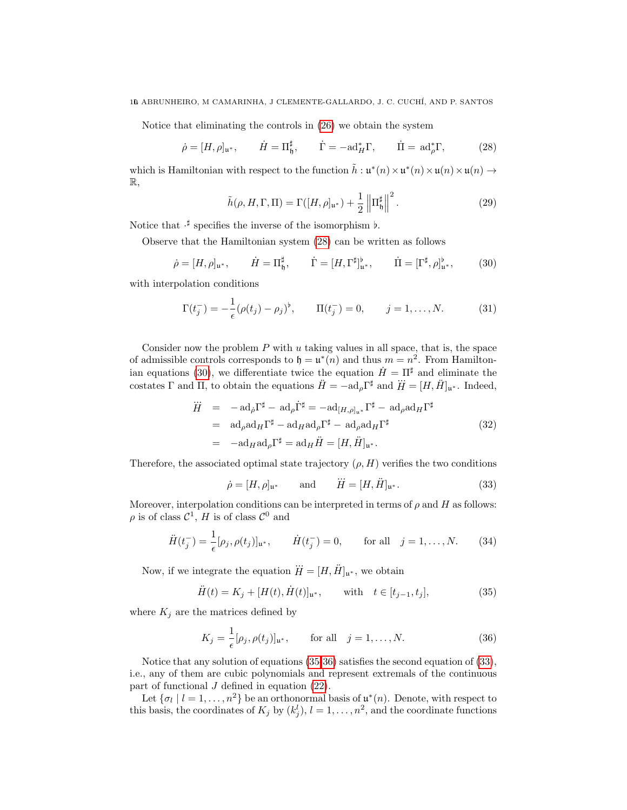## 10 ABRUNHEIRO, M CAMARINHA, J CLEMENTE-GALLARDO, J. C. CUCHÍ, AND P. SANTOS

Notice that eliminating the controls in [\(26\)](#page-8-1) we obtain the system

<span id="page-9-0"></span>
$$
\dot{\rho} = [H, \rho]_{\mathfrak{u}^*}, \qquad \dot{H} = \Pi_{\mathfrak{h}}^{\sharp}, \qquad \dot{\Gamma} = -\mathrm{ad}_H^* \Gamma, \qquad \dot{\Pi} = \mathrm{ad}_\rho^* \Gamma, \tag{28}
$$

which is Hamiltonian with respect to the function  $\tilde{h}$ :  $\mathfrak{u}^*(n) \times \mathfrak{u}^*(n) \times \mathfrak{u}(n) \rightarrow$  $\mathbb{R}.$ 

$$
\tilde{h}(\rho, H, \Gamma, \Pi) = \Gamma([H, \rho]_{\mathfrak{u}^*}) + \frac{1}{2} \left\| \Pi_{\mathfrak{h}}^{\sharp} \right\|^2.
$$
\n(29)

Notice that  $\cdot^{\sharp}$  specifies the inverse of the isomorphism  $\flat$ .

Observe that the Hamiltonian system [\(28\)](#page-9-0) can be written as follows

<span id="page-9-1"></span>
$$
\dot{\rho} = [H, \rho]_{\mathfrak{u}^*}, \qquad \dot{H} = \Pi_0^{\sharp}, \qquad \dot{\Gamma} = [H, \Gamma^{\sharp}]_{\mathfrak{u}^*}^{\flat}, \qquad \dot{\Pi} = [\Gamma^{\sharp}, \rho]_{\mathfrak{u}^*}^{\flat}, \tag{30}
$$

with interpolation conditions

$$
\Gamma(t_j^-) = -\frac{1}{\epsilon} (\rho(t_j) - \rho_j)^{\flat}, \qquad \Pi(t_j^-) = 0, \qquad j = 1, ..., N. \tag{31}
$$

Consider now the problem  $P$  with  $u$  taking values in all space, that is, the space of admissible controls corresponds to  $\mathfrak{h} = \mathfrak{u}^*(n)$  and thus  $m = n^2$ . From Hamilton-ian equations [\(30\)](#page-9-1), we differentiate twice the equation  $\dot{H} = \Pi^{\sharp}$  and eliminate the costates Γ and Π, to obtain the equations  $H = -ad_{\rho} \Gamma^{\sharp}$  and  $H = [H, H]_{u^*}$ . Indeed,

$$
\ddot{H} = -ad_{\rho}\Gamma^{\sharp} - ad_{\rho}\dot{\Gamma}^{\sharp} = -ad_{[H,\rho]_{\mathfrak{u}^*}}\Gamma^{\sharp} - ad_{\rho}ad_{H}\Gamma^{\sharp}
$$
\n
$$
= ad_{\rho}ad_{H}\Gamma^{\sharp} - ad_{H}ad_{\rho}\Gamma^{\sharp} - ad_{\rho}ad_{H}\Gamma^{\sharp}
$$
\n
$$
= -ad_{H}ad_{\rho}\Gamma^{\sharp} = ad_{H}\ddot{H} = [H, \ddot{H}]_{\mathfrak{u}^*}.
$$
\n(32)

Therefore, the associated optimal state trajectory  $(\rho, H)$  verifies the two conditions

<span id="page-9-4"></span>
$$
\dot{\rho} = [H, \rho]_{\mathfrak{u}^*}
$$
 and  $\dddot{H} = [H, \ddot{H}]_{\mathfrak{u}^*}.$  (33)

Moreover, interpolation conditions can be interpreted in terms of  $\rho$  and H as follows:  $\rho$  is of class  $\mathcal{C}^1$ , H is of class  $\mathcal{C}^0$  and

<span id="page-9-5"></span>
$$
\ddot{H}(t_j^-) = \frac{1}{\epsilon} [\rho_j, \rho(t_j)]_{\mathfrak{u}^*}, \qquad \dot{H}(t_j^-) = 0, \qquad \text{for all} \quad j = 1, \dots, N. \tag{34}
$$

Now, if we integrate the equation  $\dddot{H} = [H, \ddot{H}]_{\mathfrak{u}^*}$ , we obtain

<span id="page-9-2"></span>
$$
\ddot{H}(t) = K_j + [H(t), \dot{H}(t)]_{\mathfrak{u}^*}, \quad \text{with} \quad t \in [t_{j-1}, t_j], \tag{35}
$$

where  $K_j$  are the matrices defined by

<span id="page-9-3"></span>
$$
K_j = \frac{1}{\epsilon} [\rho_j, \rho(t_j)]_{\mathfrak{u}^*}, \quad \text{for all} \quad j = 1, \dots, N. \tag{36}
$$

Notice that any solution of equations [\(35](#page-9-2)[-36\)](#page-9-3) satisfies the second equation of [\(33\)](#page-9-4), i.e., any of them are cubic polynomials and represent extremals of the continuous part of functional  $J$  defined in equation  $(22)$ .

Let  $\{\sigma_l \mid l = 1, \ldots, n^2\}$  be an orthonormal basis of  $\mathfrak{u}^*(n)$ . Denote, with respect to this basis, the coordinates of  $K_j$  by  $(k_j^l)$ ,  $l = 1, \ldots, n^2$ , and the coordinate functions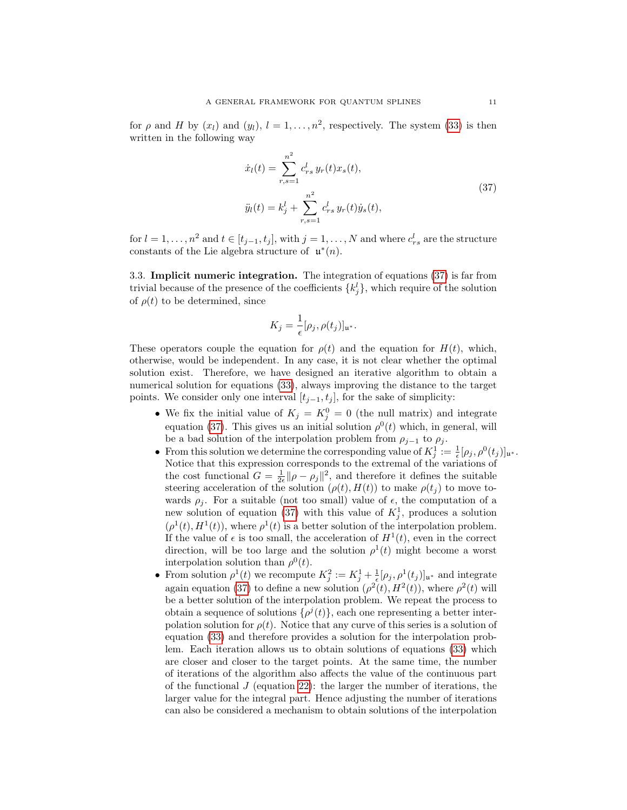for  $\rho$  and H by  $(x_l)$  and  $(y_l)$ ,  $l = 1, ..., n^2$ , respectively. The system [\(33\)](#page-9-4) is then written in the following way

<span id="page-10-0"></span>
$$
\dot{x}_l(t) = \sum_{r,s=1}^{n^2} c_{rs}^l y_r(t) x_s(t),
$$
  
\n
$$
\ddot{y}_l(t) = k_j^l + \sum_{r,s=1}^{n^2} c_{rs}^l y_r(t) \dot{y}_s(t),
$$
\n(37)

for  $l = 1, ..., n^2$  and  $t \in [t_{j-1}, t_j]$ , with  $j = 1, ..., N$  and where  $c_{rs}^l$  are the structure constants of the Lie algebra structure of  $\mathfrak{u}^*(n)$ .

<span id="page-10-1"></span>3.3. Implicit numeric integration. The integration of equations [\(37\)](#page-10-0) is far from trivial because of the presence of the coefficients  $\{k_j^l\}$ , which require of the solution of  $\rho(t)$  to be determined, since

$$
K_j = \frac{1}{\epsilon} [\rho_j, \rho(t_j)]_{\mathfrak{u}^*}.
$$

These operators couple the equation for  $\rho(t)$  and the equation for  $H(t)$ , which, otherwise, would be independent. In any case, it is not clear whether the optimal solution exist. Therefore, we have designed an iterative algorithm to obtain a numerical solution for equations [\(33\)](#page-9-4), always improving the distance to the target points. We consider only one interval  $[t_{j-1}, t_j]$ , for the sake of simplicity:

- We fix the initial value of  $K_j = K_j^0 = 0$  (the null matrix) and integrate equation [\(37\)](#page-10-0). This gives us an initial solution  $\rho^{0}(t)$  which, in general, will be a bad solution of the interpolation problem from  $\rho_{i-1}$  to  $\rho_i$ .
- From this solution we determine the corresponding value of  $K_j^1 := \frac{1}{\epsilon} [\rho_j, \rho^0(t_j)]_{\mathfrak{u}^*}.$ Notice that this expression corresponds to the extremal of the variations of the cost functional  $G = \frac{1}{2\epsilon} ||\rho - \rho_j||^2$ , and therefore it defines the suitable steering acceleration of the solution  $(\rho(t), H(t))$  to make  $\rho(t_j)$  to move towards  $\rho_j$ . For a suitable (not too small) value of  $\epsilon$ , the computation of a new solution of equation [\(37\)](#page-10-0) with this value of  $K_j^1$ , produces a solution  $(\rho^1(t), H^1(t))$ , where  $\rho^1(t)$  is a better solution of the interpolation problem. If the value of  $\epsilon$  is too small, the acceleration of  $H^1(t)$ , even in the correct direction, will be too large and the solution  $\rho^1(t)$  might become a worst interpolation solution than  $\rho^0(t)$ .
- From solution  $\rho^1(t)$  we recompute  $K_j^2 := K_j^1 + \frac{1}{\epsilon} [\rho_j, \rho^1(t_j)]_{\mathfrak{u}^*}$  and integrate again equation [\(37\)](#page-10-0) to define a new solution  $(\rho^2(t), H^2(t))$ , where  $\rho^2(t)$  will be a better solution of the interpolation problem. We repeat the process to obtain a sequence of solutions  $\{\rho^j(t)\}\$ , each one representing a better interpolation solution for  $\rho(t)$ . Notice that any curve of this series is a solution of equation [\(33\)](#page-9-4) and therefore provides a solution for the interpolation problem. Each iteration allows us to obtain solutions of equations [\(33\)](#page-9-4) which are closer and closer to the target points. At the same time, the number of iterations of the algorithm also affects the value of the continuous part of the functional  $J$  (equation [22\)](#page-8-2): the larger the number of iterations, the larger value for the integral part. Hence adjusting the number of iterations can also be considered a mechanism to obtain solutions of the interpolation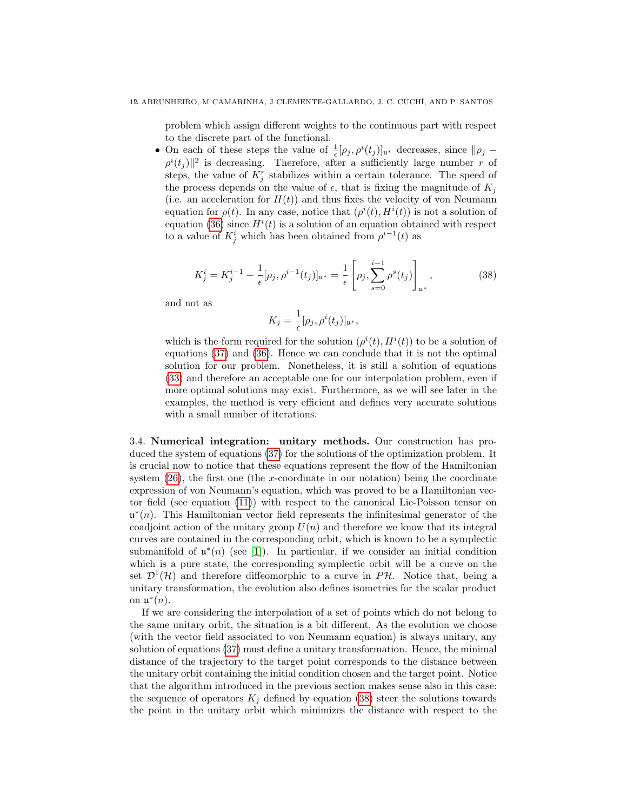problem which assign different weights to the continuous part with respect to the discrete part of the functional.

• On each of these steps the value of  $\frac{1}{\epsilon} [\rho_j, \rho^i(t_j)]_{\mathfrak{u}^*}$  decreases, since  $\|\rho_j \rho^{i}(t_j)$ <sup>2</sup> is decreasing. Therefore, after a sufficiently large number r of steps, the value of  $K_j^r$  stabilizes within a certain tolerance. The speed of the process depends on the value of  $\epsilon$ , that is fixing the magnitude of  $K_j$ (i.e. an acceleration for  $H(t)$ ) and thus fixes the velocity of von Neumann equation for  $\rho(t)$ . In any case, notice that  $(\rho^{i}(t), H^{i}(t))$  is not a solution of equation [\(36\)](#page-9-3) since  $H^{i}(t)$  is a solution of an equation obtained with respect to a value of  $K_j^i$  which has been obtained from  $\rho^{i-1}(t)$  as

<span id="page-11-0"></span>
$$
K_j^i = K_j^{i-1} + \frac{1}{\epsilon} [\rho_j, \rho^{i-1}(t_j)]_{\mathfrak{u}^*} = \frac{1}{\epsilon} \left[ \rho_j, \sum_{s=0}^{i-1} \rho^s(t_j) \right]_{\mathfrak{u}^*},
$$
(38)

and not as

$$
K_j = \frac{1}{\epsilon} [\rho_j, \rho^i(t_j)]_{\mathfrak{u}^*},
$$

which is the form required for the solution  $(\rho^i(t), H^i(t))$  to be a solution of equations [\(37\)](#page-10-0) and [\(36\)](#page-9-3). Hence we can conclude that it is not the optimal solution for our problem. Nonetheless, it is still a solution of equations [\(33\)](#page-9-4) and therefore an acceptable one for our interpolation problem, even if more optimal solutions may exist. Furthermore, as we will see later in the examples, the method is very efficient and defines very accurate solutions with a small number of iterations.

3.4. Numerical integration: unitary methods. Our construction has produced the system of equations [\(37\)](#page-10-0) for the solutions of the optimization problem. It is crucial now to notice that these equations represent the flow of the Hamiltonian system  $(26)$ , the first one (the x-coordinate in our notation) being the coordinate expression of von Neumann's equation, which was proved to be a Hamiltonian vector field (see equation [\(11\)](#page-5-0)) with respect to the canonical Lie-Poisson tensor on  $\mathfrak{u}^*(n)$ . This Hamiltonian vector field represents the infinitesimal generator of the coadjoint action of the unitary group  $U(n)$  and therefore we know that its integral curves are contained in the corresponding orbit, which is known to be a symplectic submanifold of  $\mathfrak{u}^*(n)$  (see [\[1\]](#page-18-9)). In particular, if we consider an initial condition which is a pure state, the corresponding symplectic orbit will be a curve on the set  $\mathcal{D}^1(\mathcal{H})$  and therefore diffeomorphic to a curve in PH. Notice that, being a unitary transformation, the evolution also defines isometries for the scalar product on  $\mathfrak{u}^*(n)$ .

If we are considering the interpolation of a set of points which do not belong to the same unitary orbit, the situation is a bit different. As the evolution we choose (with the vector field associated to von Neumann equation) is always unitary, any solution of equations [\(37\)](#page-10-0) must define a unitary transformation. Hence, the minimal distance of the trajectory to the target point corresponds to the distance between the unitary orbit containing the initial condition chosen and the target point. Notice that the algorithm introduced in the previous section makes sense also in this case: the sequence of operators  $K_j$  defined by equation [\(38\)](#page-11-0) steer the solutions towards the point in the unitary orbit which minimizes the distance with respect to the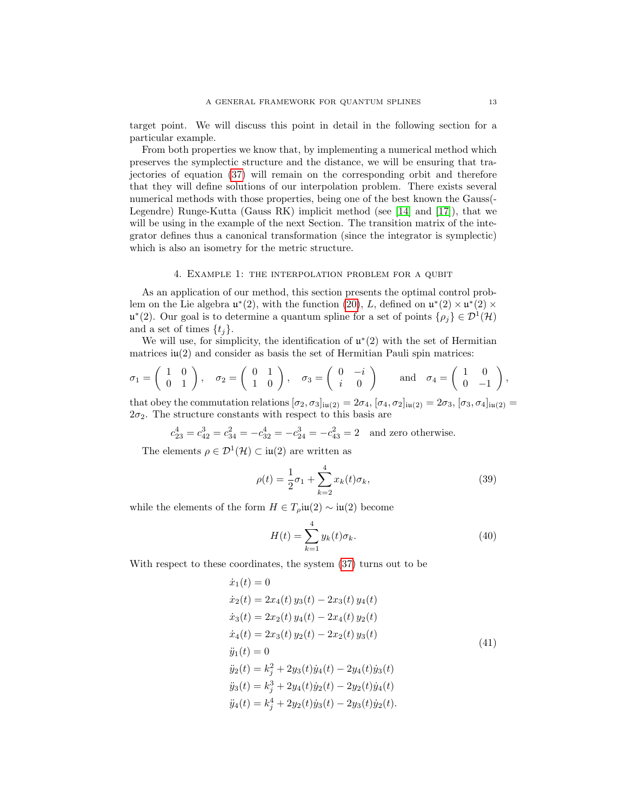target point. We will discuss this point in detail in the following section for a particular example.

From both properties we know that, by implementing a numerical method which preserves the symplectic structure and the distance, we will be ensuring that trajectories of equation [\(37\)](#page-10-0) will remain on the corresponding orbit and therefore that they will define solutions of our interpolation problem. There exists several numerical methods with those properties, being one of the best known the Gauss(- Legendre) Runge-Kutta (Gauss RK) implicit method (see [\[14\]](#page-19-13) and [\[17\]](#page-19-14)), that we will be using in the example of the next Section. The transition matrix of the integrator defines thus a canonical transformation (since the integrator is symplectic) which is also an isometry for the metric structure.

## 4. Example 1: the interpolation problem for a qubit

<span id="page-12-0"></span>As an application of our method, this section presents the optimal control problem on the Lie algebra  $\mathfrak{u}^*(2)$ , with the function [\(20\)](#page-8-3), L, defined on  $\mathfrak{u}^*(2) \times \mathfrak{u}^*(2) \times$  $\mathfrak{u}^*(2)$ . Our goal is to determine a quantum spline for a set of points  $\{\rho_j\} \in \mathcal{D}^1(\mathcal{H})$ and a set of times  $\{t_i\}.$ 

We will use, for simplicity, the identification of  $\mathfrak{u}^*(2)$  with the set of Hermitian matrices  $\mathfrak{u}(2)$  and consider as basis the set of Hermitian Pauli spin matrices:

$$
\sigma_1 = \begin{pmatrix} 1 & 0 \\ 0 & 1 \end{pmatrix}, \quad \sigma_2 = \begin{pmatrix} 0 & 1 \\ 1 & 0 \end{pmatrix}, \quad \sigma_3 = \begin{pmatrix} 0 & -i \\ i & 0 \end{pmatrix} \quad \text{and} \quad \sigma_4 = \begin{pmatrix} 1 & 0 \\ 0 & -1 \end{pmatrix},
$$

that obey the commutation relations  $[\sigma_2, \sigma_3]_{\text{iu}(2)} = 2\sigma_4$ ,  $[\sigma_4, \sigma_2]_{\text{iu}(2)} = 2\sigma_3$ ,  $[\sigma_3, \sigma_4]_{\text{iu}(2)} =$  $2\sigma_2$ . The structure constants with respect to this basis are

$$
c_{23}^4 = c_{42}^3 = c_{34}^2 = -c_{32}^4 = -c_{24}^3 = -c_{43}^2 = 2
$$
 and zero otherwise.

The elements  $\rho \in \mathcal{D}^1(\mathcal{H}) \subset \text{iu}(2)$  are written as

$$
\rho(t) = \frac{1}{2}\sigma_1 + \sum_{k=2}^{4} x_k(t)\sigma_k,
$$
\n(39)

while the elements of the form  $H \in T_\rho$ iu(2)  $\sim$  iu(2) become

$$
H(t) = \sum_{k=1}^{4} y_k(t)\sigma_k.
$$
 (40)

With respect to these coordinates, the system [\(37\)](#page-10-0) turns out to be

$$
\begin{aligned}\n\dot{x}_1(t) &= 0\\ \n\dot{x}_2(t) &= 2x_4(t) \, y_3(t) - 2x_3(t) \, y_4(t) \\
\dot{x}_3(t) &= 2x_2(t) \, y_4(t) - 2x_4(t) \, y_2(t) \\
\dot{x}_4(t) &= 2x_3(t) \, y_2(t) - 2x_2(t) \, y_3(t) \\
\ddot{y}_1(t) &= 0 \\
\ddot{y}_2(t) &= k_j^2 + 2y_3(t) \dot{y}_4(t) - 2y_4(t) \dot{y}_3(t) \\
\ddot{y}_3(t) &= k_j^3 + 2y_4(t) \dot{y}_2(t) - 2y_2(t) \dot{y}_4(t) \\
\ddot{y}_4(t) &= k_j^4 + 2y_2(t) \dot{y}_3(t) - 2y_3(t) \dot{y}_2(t).\n\end{aligned} \tag{41}
$$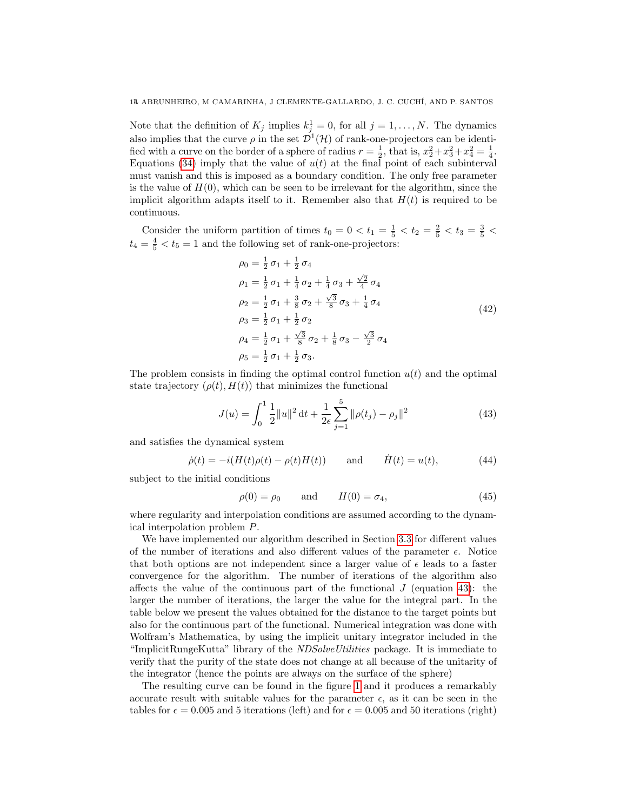Note that the definition of  $K_j$  implies  $k_j^1 = 0$ , for all  $j = 1, ..., N$ . The dynamics also implies that the curve  $\rho$  in the set  $\mathcal{D}^1(\mathcal{H})$  of rank-one-projectors can be identified with a curve on the border of a sphere of radius  $r = \frac{1}{2}$ , that is,  $x_2^2 + x_3^2 + x_4^2 = \frac{1}{4}$ . Equations [\(34\)](#page-9-5) imply that the value of  $u(t)$  at the final point of each subinterval must vanish and this is imposed as a boundary condition. The only free parameter is the value of  $H(0)$ , which can be seen to be irrelevant for the algorithm, since the implicit algorithm adapts itself to it. Remember also that  $H(t)$  is required to be continuous.

Consider the uniform partition of times  $t_0 = 0 < t_1 = \frac{1}{5} < t_2 = \frac{2}{5} < t_3 = \frac{3}{5} <$  $t_4 = \frac{4}{5} < t_5 = 1$  and the following set of rank-one-projectors:

$$
\rho_0 = \frac{1}{2} \sigma_1 + \frac{1}{2} \sigma_4 \n\rho_1 = \frac{1}{2} \sigma_1 + \frac{1}{4} \sigma_2 + \frac{1}{4} \sigma_3 + \frac{\sqrt{2}}{4} \sigma_4 \n\rho_2 = \frac{1}{2} \sigma_1 + \frac{3}{8} \sigma_2 + \frac{\sqrt{3}}{8} \sigma_3 + \frac{1}{4} \sigma_4 \n\rho_3 = \frac{1}{2} \sigma_1 + \frac{1}{2} \sigma_2 \n\rho_4 = \frac{1}{2} \sigma_1 + \frac{\sqrt{3}}{8} \sigma_2 + \frac{1}{8} \sigma_3 - \frac{\sqrt{3}}{2} \sigma_4 \n\rho_5 = \frac{1}{2} \sigma_1 + \frac{1}{2} \sigma_3.
$$
\n(42)

The problem consists in finding the optimal control function  $u(t)$  and the optimal state trajectory  $(\rho(t), H(t))$  that minimizes the functional

<span id="page-13-0"></span>
$$
J(u) = \int_0^1 \frac{1}{2} ||u||^2 dt + \frac{1}{2\epsilon} \sum_{j=1}^5 ||\rho(t_j) - \rho_j||^2
$$
 (43)

and satisfies the dynamical system

$$
\dot{\rho}(t) = -i(H(t)\rho(t) - \rho(t)H(t))
$$
 and  $\dot{H}(t) = u(t)$ , (44)

subject to the initial conditions

$$
\rho(0) = \rho_0 \qquad \text{and} \qquad H(0) = \sigma_4,\tag{45}
$$

where regularity and interpolation conditions are assumed according to the dynamical interpolation problem P.

We have implemented our algorithm described in Section [3.3](#page-10-1) for different values of the number of iterations and also different values of the parameter  $\epsilon$ . Notice that both options are not independent since a larger value of  $\epsilon$  leads to a faster convergence for the algorithm. The number of iterations of the algorithm also affects the value of the continuous part of the functional  $J$  (equation [43\)](#page-13-0): the larger the number of iterations, the larger the value for the integral part. In the table below we present the values obtained for the distance to the target points but also for the continuous part of the functional. Numerical integration was done with Wolfram's Mathematica, by using the implicit unitary integrator included in the "ImplicitRungeKutta" library of the  $NDSolve\,1$  Utilities package. It is immediate to verify that the purity of the state does not change at all because of the unitarity of the integrator (hence the points are always on the surface of the sphere)

The resulting curve can be found in the figure [1](#page-14-1) and it produces a remarkably accurate result with suitable values for the parameter  $\epsilon$ , as it can be seen in the tables for  $\epsilon = 0.005$  and 5 iterations (left) and for  $\epsilon = 0.005$  and 50 iterations (right)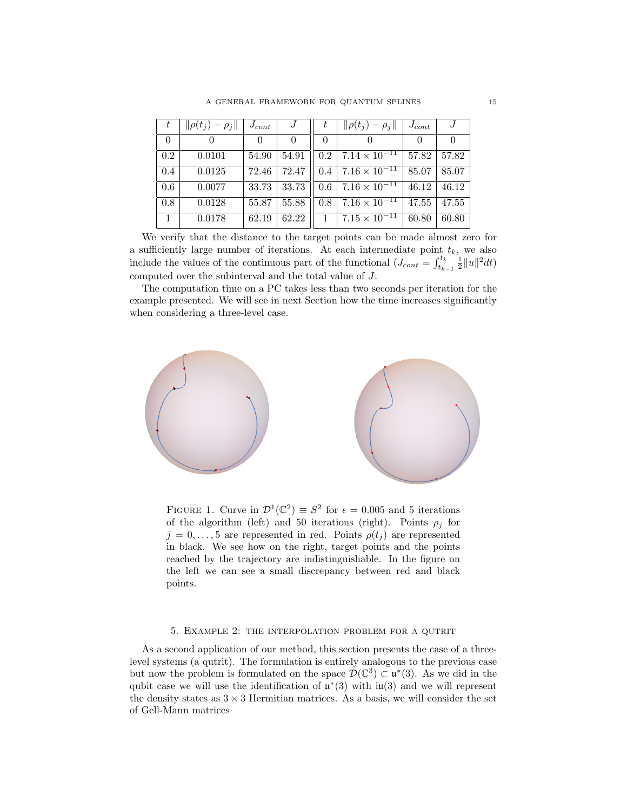| t        | $\ \rho(t_j)-\rho_j\ $   $J_{cont}$ |                   | J        | t           | $\ \rho(t_j) - \rho_j\ $                           | $\mid J_{cont} \mid$ | $\int$           |
|----------|-------------------------------------|-------------------|----------|-------------|----------------------------------------------------|----------------------|------------------|
| $\Omega$ |                                     | $\Omega$          | $\Omega$ | $\left($    |                                                    |                      | $\left( \right)$ |
| 0.2      | 0.0101                              | 54.90             | 54.91    |             | $0.2$   $7.14 \times 10^{-11}$   57.82             |                      | 57.82            |
| 0.4      | 0.0125                              | 72.46             | 72.47    |             | $\boxed{0.4 \mid 7.16 \times 10^{-11} \mid 85.07}$ |                      | 85.07            |
| 0.6      | 0.0077                              | $33.73 \pm 33.73$ |          |             | $0.6$   $7.16 \times 10^{-11}$   46.12             |                      | 46.12            |
| 0.8      | 0.0128                              | 55.87             | 55.88    |             | $0.8$   $7.16 \times 10^{-11}$   47.55             |                      | 47.55            |
|          | 0.0178                              | 62.19             | 62.22    | $\boxed{1}$ | $\sqrt{7.15 \times 10^{-11}}$                      | 60.80                | 60.80            |

We verify that the distance to the target points can be made almost zero for a sufficiently large number of iterations. At each intermediate point  $t_k$ , we also include the values of the continuous part of the functional  $(J_{cont} = \int_{t_{k-1}}^{t_k} \frac{1}{2} ||u||^2 dt)$ computed over the subinterval and the total value of J.

The computation time on a PC takes less than two seconds per iteration for the example presented. We will see in next Section how the time increases significantly when considering a three-level case.



<span id="page-14-1"></span>FIGURE 1. Curve in  $\mathcal{D}^1(\mathbb{C}^2) \equiv S^2$  for  $\epsilon = 0.005$  and 5 iterations of the algorithm (left) and 50 iterations (right). Points  $\rho_i$  for  $j = 0, \ldots, 5$  are represented in red. Points  $\rho(t_j)$  are represented in black. We see how on the right, target points and the points reached by the trajectory are indistinguishable. In the figure on the left we can see a small discrepancy between red and black points.

#### 5. Example 2: the interpolation problem for a qutrit

<span id="page-14-0"></span>As a second application of our method, this section presents the case of a threelevel systems (a qutrit). The formulation is entirely analogous to the previous case but now the problem is formulated on the space  $\mathcal{D}(\mathbb{C}^3) \subset \mathfrak{u}^*(3)$ . As we did in the qubit case we will use the identification of  $\mathfrak{u}^*(3)$  with  $\mathfrak{u}(3)$  and we will represent the density states as  $3 \times 3$  Hermitian matrices. As a basis, we will consider the set of Gell-Mann matrices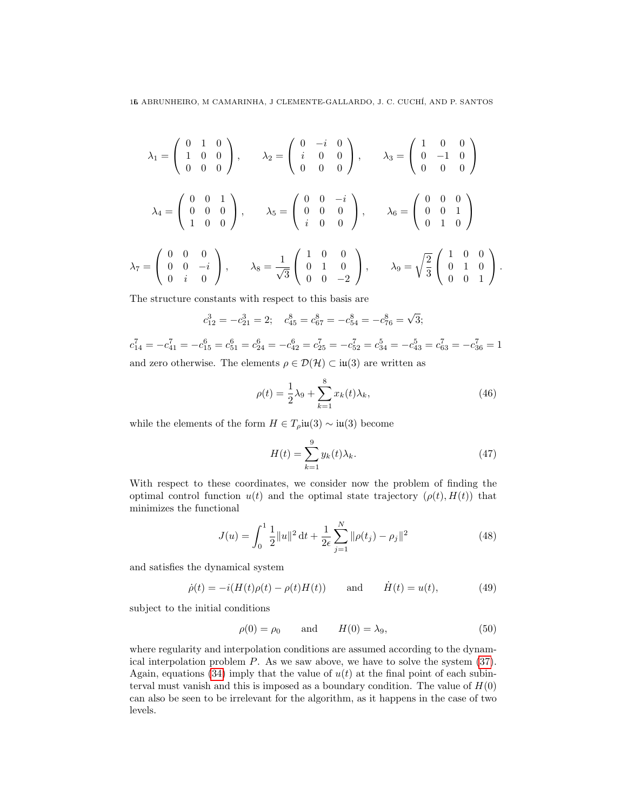$$
\lambda_1 = \begin{pmatrix} 0 & 1 & 0 \\ 1 & 0 & 0 \\ 0 & 0 & 0 \end{pmatrix}, \qquad \lambda_2 = \begin{pmatrix} 0 & -i & 0 \\ i & 0 & 0 \\ 0 & 0 & 0 \end{pmatrix}, \qquad \lambda_3 = \begin{pmatrix} 1 & 0 & 0 \\ 0 & -1 & 0 \\ 0 & 0 & 0 \end{pmatrix}
$$

$$
\lambda_4 = \begin{pmatrix} 0 & 0 & 1 \\ 0 & 0 & 0 \\ 1 & 0 & 0 \end{pmatrix}, \qquad \lambda_5 = \begin{pmatrix} 0 & 0 & -i \\ 0 & 0 & 0 \\ i & 0 & 0 \end{pmatrix}, \qquad \lambda_6 = \begin{pmatrix} 0 & 0 & 0 \\ 0 & 0 & 1 \\ 0 & 1 & 0 \end{pmatrix}
$$

$$
\lambda_7 = \begin{pmatrix} 0 & 0 & 0 \\ 0 & 0 & -i \\ 0 & i & 0 \end{pmatrix}, \qquad \lambda_8 = \frac{1}{\sqrt{3}} \begin{pmatrix} 1 & 0 & 0 \\ 0 & 1 & 0 \\ 0 & 0 & -2 \end{pmatrix}, \qquad \lambda_9 = \sqrt{\frac{2}{3}} \begin{pmatrix} 1 & 0 & 0 \\ 0 & 1 & 0 \\ 0 & 0 & 1 \end{pmatrix}.
$$

The structure constants with respect to this basis are

$$
c_{12}^3 = -c_{21}^3 = 2
$$
;  $c_{45}^8 = c_{67}^8 = -c_{54}^8 = -c_{76}^8 = \sqrt{3}$ ;

 $c_{14}^7 = -c_{41}^7 = -c_{15}^6 = c_{51}^6 = c_{24}^6 = -c_{42}^6 = c_{25}^7 = -c_{52}^7 = c_{34}^5 = -c_{43}^5 = c_{63}^7 = -c_{36}^7 = 1$ and zero otherwise. The elements  $\rho \in \mathcal{D}(\mathcal{H}) \subset \text{iu}(3)$  are written as

$$
\rho(t) = \frac{1}{2}\lambda_9 + \sum_{k=1}^{8} x_k(t)\lambda_k,
$$
\n(46)

while the elements of the form  $H \in T_\rho$ iu(3)  $\sim$  iu(3) become

$$
H(t) = \sum_{k=1}^{9} y_k(t)\lambda_k.
$$
\n(47)

With respect to these coordinates, we consider now the problem of finding the optimal control function  $u(t)$  and the optimal state trajectory  $(\rho(t), H(t))$  that minimizes the functional

$$
J(u) = \int_0^1 \frac{1}{2} ||u||^2 dt + \frac{1}{2\epsilon} \sum_{j=1}^N ||\rho(t_j) - \rho_j||^2
$$
 (48)

and satisfies the dynamical system

$$
\dot{\rho}(t) = -i(H(t)\rho(t) - \rho(t)H(t))
$$
 and  $\dot{H}(t) = u(t),$  (49)

subject to the initial conditions

$$
\rho(0) = \rho_0 \qquad \text{and} \qquad H(0) = \lambda_9,\tag{50}
$$

where regularity and interpolation conditions are assumed according to the dynamical interpolation problem  $P$ . As we saw above, we have to solve the system  $(37)$ . Again, equations [\(34\)](#page-9-5) imply that the value of  $u(t)$  at the final point of each subinterval must vanish and this is imposed as a boundary condition. The value of  $H(0)$ can also be seen to be irrelevant for the algorithm, as it happens in the case of two levels.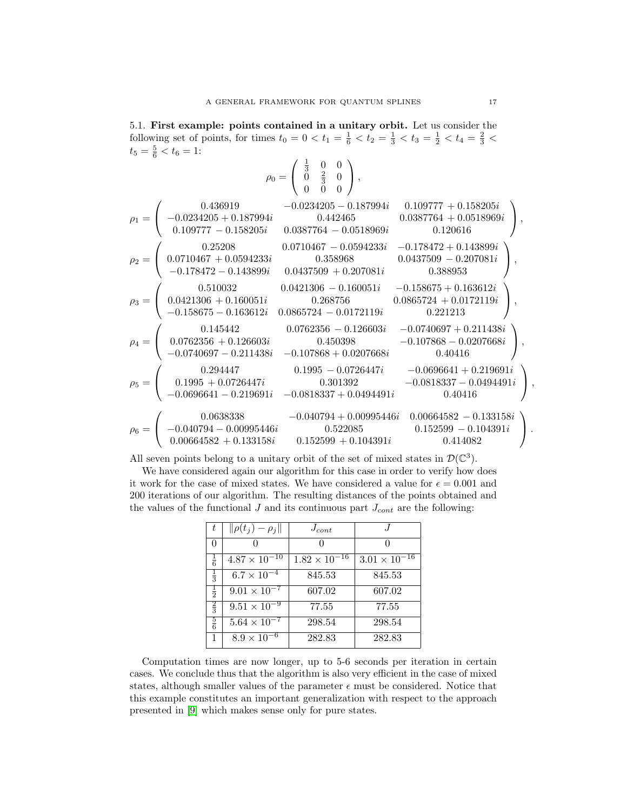5.1. First example: points contained in a unitary orbit. Let us consider the following set of points, for times  $t_0 = 0 < t_1 = \frac{1}{6} < t_2 = \frac{1}{3} < t_3 = \frac{1}{2} < t_4 = \frac{2}{3} <$  $t_5 = \frac{5}{6} < t_6 = 1$ :

|  | $\rho_0 = \left( \begin{array}{ccc} \frac{1}{3} & 0 & 0 \\ 0 & \frac{2}{3} & 0 \\ 0 & 0 & 0 \end{array} \right),$ |                                                                                                                                                                                                                                                               |
|--|-------------------------------------------------------------------------------------------------------------------|---------------------------------------------------------------------------------------------------------------------------------------------------------------------------------------------------------------------------------------------------------------|
|  |                                                                                                                   | $\rho_1 = \left( \begin{array}{ccc} 0.436919 & -0.0234205 - 0.187994i & 0.109777 + 0.158205i \\ -0.0234205 + 0.187994i & 0.442465 & 0.0387764 + 0.0518969i \\ 0.109777 - 0.158205i & 0.0387764 - 0.0518969i & 0.120616 \end{array} \right),$                  |
|  |                                                                                                                   | $\rho_2 = \left( \begin{array}{ccc} 0.25208 & 0.0710467\,-\,0.0594233i & -0.178472 + 0.143899i \\ 0.0710467\, +\,0.0594233i & 0.358968 & 0.0437509\,-\,0.207081i \\ -0.178472 - 0.143899i & 0.0437509\, +\,0.207081i & 0.388953 \\ \end{array} \right),$      |
|  |                                                                                                                   | $\rho_3=\left( \begin{array}{ccc} 0.510032 & 0.0421306\, -\, 0.160051i & -0.158675 + 0.163612i \\ 0.0421306\, +\, 0.160051i & 0.268756 & 0.0865724\, +\, 0.0172119i \\ -0.158675\, -\, 0.163612i & 0.0865724\, -\, 0.0172119i & 0.221213 \end{array}\right),$ |
|  |                                                                                                                   | $\rho_4=\left( \begin{array}{ccc} 0.145442 & 0.0762356\,-\,0.126603i & -0.0740697+0.211438i\\ 0.0762356\,+\,0.126603i & 0.450398 & -0.107868-0.0207668i\\ -0.0740697-0.211438i & -0.107868+0.0207668i & 0.40416 \end{array}\right),$                          |
|  |                                                                                                                   | $\rho_5=\left(\begin{array}{ccc} 0.294447 & 0.1995\, -\, 0.0726447i & -0.0696641 + 0.219691i \\ 0.1995\, +\, 0.0726447i & 0.301392 & -0.0818337 -\, 0.0494491i \\ -0.0696641\, -\, 0.219691i & -0.0818337 + 0.0494491i & 0.40416 \end{array}\right),$         |
|  |                                                                                                                   | $\rho_6=\left( \begin{array}{ccc} 0.0638338 & -0.040794+0.00995446i & 0.00664582-0.133158i \\ -0.040794-0.00995446i & 0.522085 & 0.152599-0.104391i \\ 0.00664582+0.133158i & 0.152599+0.104391i & 0.414082 \\ \end{array} \right).$                          |

All seven points belong to a unitary orbit of the set of mixed states in  $\mathcal{D}(\mathbb{C}^3)$ .

We have considered again our algorithm for this case in order to verify how does it work for the case of mixed states. We have considered a value for  $\epsilon = 0.001$  and 200 iterations of our algorithm. The resulting distances of the points obtained and the values of the functional  $J$  and its continuous part  $J_{cont}$  are the following:

| t             | $\ \rho(t_j) - \rho_j\ $ | $J_{cont}$             | .1                     |
|---------------|--------------------------|------------------------|------------------------|
|               |                          |                        |                        |
| $\frac{1}{6}$ | $4.87 \times 10^{-10}$   | $1.82 \times 10^{-16}$ | $3.01 \times 10^{-16}$ |
| $\frac{1}{3}$ | $6.7 \times 10^{-4}$     | 845.53                 | 845.53                 |
| $\frac{1}{2}$ | $9.01 \times 10^{-7}$    | 607.02                 | 607.02                 |
| $\frac{2}{3}$ | $9.51 \times 10^{-9}$    | 77.55                  | 77.55                  |
| $\frac{5}{6}$ | $5.64 \times 10^{-7}$    | 298.54                 | 298.54                 |
| 1             | $8.9 \times 10^{-6}$     | 282.83                 | 282.83                 |

Computation times are now longer, up to 5-6 seconds per iteration in certain cases. We conclude thus that the algorithm is also very efficient in the case of mixed states, although smaller values of the parameter  $\epsilon$  must be considered. Notice that this example constitutes an important generalization with respect to the approach presented in [\[9\]](#page-18-2) which makes sense only for pure states.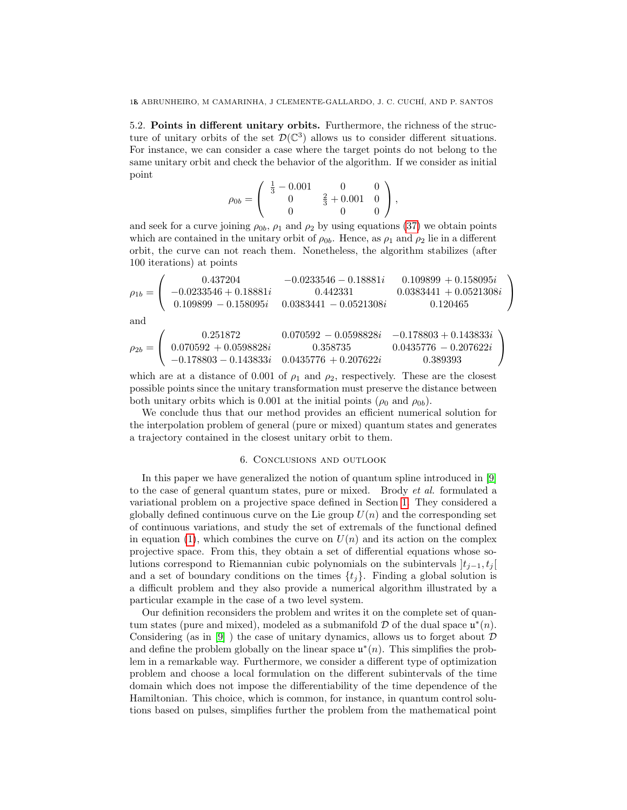5.2. Points in different unitary orbits. Furthermore, the richness of the structure of unitary orbits of the set  $\mathcal{D}(\mathbb{C}^3)$  allows us to consider different situations. For instance, we can consider a case where the target points do not belong to the same unitary orbit and check the behavior of the algorithm. If we consider as initial point

$$
\rho_{0b} = \begin{pmatrix} \frac{1}{3} - 0.001 & 0 & 0 \\ 0 & \frac{2}{3} + 0.001 & 0 \\ 0 & 0 & 0 \end{pmatrix},
$$

and seek for a curve joining  $\rho_{0b}$ ,  $\rho_1$  and  $\rho_2$  by using equations [\(37\)](#page-10-0) we obtain points which are contained in the unitary orbit of  $\rho_{0b}$ . Hence, as  $\rho_1$  and  $\rho_2$  lie in a different orbit, the curve can not reach them. Nonetheless, the algorithm stabilizes (after 100 iterations) at points

$$
\rho_{1b} = \begin{pmatrix}\n0.437204 & -0.0233546 - 0.18881i & 0.109899 + 0.158095i \\
-0.0233546 + 0.18881i & 0.442331 & 0.0383441 + 0.0521308i \\
0.109899 - 0.158095i & 0.0383441 - 0.0521308i & 0.120465\n\end{pmatrix}
$$
\nand\n
$$
\begin{pmatrix}\n0.251872 & 0.070592 - 0.0598828i & -0.178803 + 0.143833i\n\end{pmatrix}
$$

$$
\rho_{2b} = \left(\begin{array}{ccc} 0.251872 & 0.070592 - 0.0598828i & -0.178803 + 0.143833i \\ 0.070592 + 0.0598828i & 0.358735 & 0.0435776 - 0.207622i \\ -0.178803 - 0.143833i & 0.0435776 + 0.207622i & 0.389393 \end{array}\right)
$$

which are at a distance of 0.001 of  $\rho_1$  and  $\rho_2$ , respectively. These are the closest possible points since the unitary transformation must preserve the distance between both unitary orbits which is 0.001 at the initial points ( $\rho_0$  and  $\rho_{0b}$ ).

We conclude thus that our method provides an efficient numerical solution for the interpolation problem of general (pure or mixed) quantum states and generates a trajectory contained in the closest unitary orbit to them.

# 6. Conclusions and outlook

<span id="page-17-0"></span>In this paper we have generalized the notion of quantum spline introduced in [\[9\]](#page-18-2) to the case of general quantum states, pure or mixed. Brody et al. formulated a variational problem on a projective space defined in Section [1.](#page-0-1) They considered a globally defined continuous curve on the Lie group  $U(n)$  and the corresponding set of continuous variations, and study the set of extremals of the functional defined in equation [\(1\)](#page-0-0), which combines the curve on  $U(n)$  and its action on the complex projective space. From this, they obtain a set of differential equations whose solutions correspond to Riemannian cubic polynomials on the subintervals  $|t_{i-1}, t_i|$ and a set of boundary conditions on the times  $\{t_i\}$ . Finding a global solution is a difficult problem and they also provide a numerical algorithm illustrated by a particular example in the case of a two level system.

Our definition reconsiders the problem and writes it on the complete set of quantum states (pure and mixed), modeled as a submanifold  $D$  of the dual space  $\mathfrak{u}^*(n)$ . Considering (as in [\[9\]](#page-18-2)) the case of unitary dynamics, allows us to forget about  $\mathcal D$ and define the problem globally on the linear space  $\mathfrak{u}^*(n)$ . This simplifies the problem in a remarkable way. Furthermore, we consider a different type of optimization problem and choose a local formulation on the different subintervals of the time domain which does not impose the differentiability of the time dependence of the Hamiltonian. This choice, which is common, for instance, in quantum control solutions based on pulses, simplifies further the problem from the mathematical point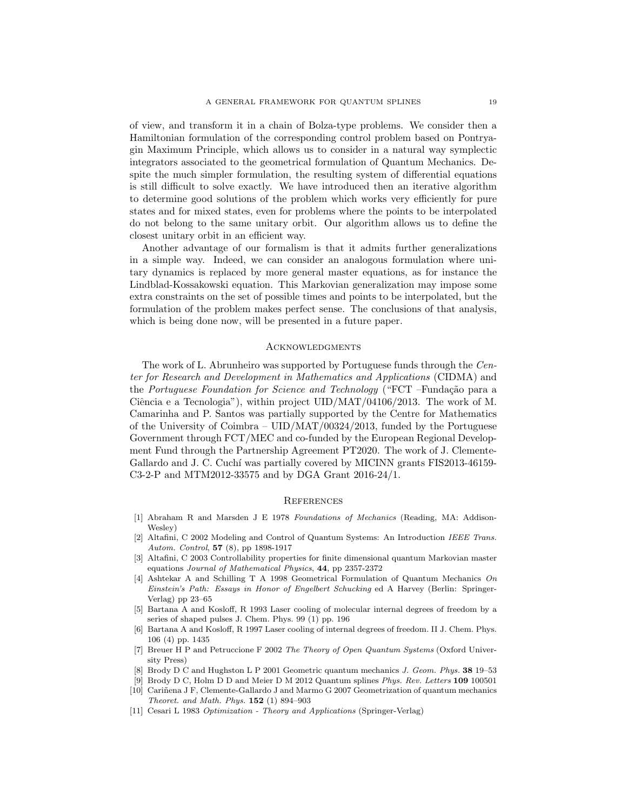of view, and transform it in a chain of Bolza-type problems. We consider then a Hamiltonian formulation of the corresponding control problem based on Pontryagin Maximum Principle, which allows us to consider in a natural way symplectic integrators associated to the geometrical formulation of Quantum Mechanics. Despite the much simpler formulation, the resulting system of differential equations is still difficult to solve exactly. We have introduced then an iterative algorithm to determine good solutions of the problem which works very efficiently for pure states and for mixed states, even for problems where the points to be interpolated do not belong to the same unitary orbit. Our algorithm allows us to define the closest unitary orbit in an efficient way.

Another advantage of our formalism is that it admits further generalizations in a simple way. Indeed, we can consider an analogous formulation where unitary dynamics is replaced by more general master equations, as for instance the Lindblad-Kossakowski equation. This Markovian generalization may impose some extra constraints on the set of possible times and points to be interpolated, but the formulation of the problem makes perfect sense. The conclusions of that analysis, which is being done now, will be presented in a future paper.

## **ACKNOWLEDGMENTS**

The work of L. Abrunheiro was supported by Portuguese funds through the Center for Research and Development in Mathematics and Applications (CIDMA) and the Portuguese Foundation for Science and Technology ("FCT –Fundação para a Ciência e a Tecnologia"), within project  $\text{UID}/\text{MAT}/04106/2013$ . The work of M. Camarinha and P. Santos was partially supported by the Centre for Mathematics of the University of Coimbra – UID/MAT/00324/2013, funded by the Portuguese Government through FCT/MEC and co-funded by the European Regional Development Fund through the Partnership Agreement PT2020. The work of J. Clemente-Gallardo and J. C. Cuchí was partially covered by MICINN grants FIS2013-46159-C3-2-P and MTM2012-33575 and by DGA Grant 2016-24/1.

## **REFERENCES**

- <span id="page-18-9"></span>[1] Abraham R and Marsden J E 1978 Foundations of Mechanics (Reading, MA: Addison-Wesley)
- <span id="page-18-4"></span>[2] Altafini, C 2002 Modeling and Control of Quantum Systems: An Introduction IEEE Trans. Autom. Control, **57** (8), pp 1898-1917
- <span id="page-18-5"></span>[3] Altafini, C 2003 Controllability properties for finite dimensional quantum Markovian master equations Journal of Mathematical Physics, 44, pp 2357-2372
- <span id="page-18-6"></span>[4] Ashtekar A and Schilling T A 1998 Geometrical Formulation of Quantum Mechanics On Einstein's Path: Essays in Honor of Engelbert Schucking ed A Harvey (Berlin: Springer-Verlag) pp 23–65
- <span id="page-18-0"></span>[5] Bartana A and Kosloff, R 1993 Laser cooling of molecular internal degrees of freedom by a series of shaped pulses J. Chem. Phys. 99 (1) pp. 196
- <span id="page-18-1"></span>[6] Bartana A and Kosloff, R 1997 Laser cooling of internal degrees of freedom. II J. Chem. Phys. 106 (4) pp. 1435
- <span id="page-18-3"></span>[7] Breuer H P and Petruccione F 2002 The Theory of Open Quantum Systems (Oxford University Press)
- <span id="page-18-7"></span>[8] Brody D C and Hughston L P 2001 Geometric quantum mechanics J. Geom. Phys. 38 19–53
- <span id="page-18-2"></span>[9] Brody D C, Holm D D and Meier D M 2012 Quantum splines Phys. Rev. Letters 109 100501
- <span id="page-18-8"></span>[10] Cariñena J F, Clemente-Gallardo J and Marmo G 2007 Geometrization of quantum mechanics Theoret. and Math. Phys. 152 (1) 894–903
- <span id="page-18-10"></span>[11] Cesari L 1983 Optimization - Theory and Applications (Springer-Verlag)